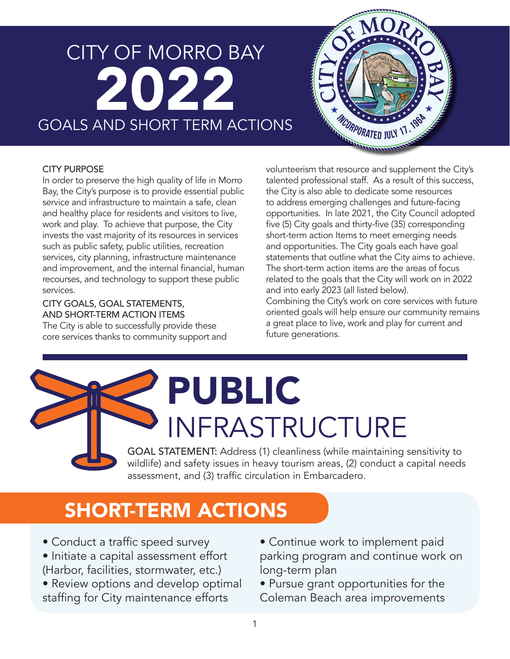### CITY OF MORRO BAY 2022 GOALS AND SHORT TERM ACTIONS



#### CITY PURPOSE

In order to preserve the high quality of life in Morro Bay, the City's purpose is to provide essential public service and infrastructure to maintain a safe, clean and healthy place for residents and visitors to live, work and play. To achieve that purpose, the City invests the vast majority of its resources in services such as public safety, public utilities, recreation services, city planning, infrastructure maintenance and improvement, and the internal financial, human recourses, and technology to support these public services.

CITY GOALS, GOAL STATEMENTS, AND SHORT-TERM ACTION ITEMS

The City is able to successfully provide these core services thanks to community support and volunteerism that resource and supplement the City's talented professional staff. As a result of this success, the City is also able to dedicate some resources to address emerging challenges and future-facing opportunities. In late 2021, the City Council adopted five (5) City goals and thirty-five (35) corresponding short-term action Items to meet emerging needs and opportunities. The City goals each have goal statements that outline what the City aims to achieve. The short-term action items are the areas of focus related to the goals that the City will work on in 2022 and into early 2023 (all listed below). Combining the City's work on core services with future oriented goals will help ensure our community remains

a great place to live, work and play for current and future generations.

## PUBLIC INFRASTRUCTURE

GOAL STATEMENT: Address (1) cleanliness (while maintaining sensitivity to wildlife) and safety issues in heavy tourism areas, (2) conduct a capital needs assessment, and (3) traffic circulation in Embarcadero.

### SHORT-TERM ACTIONS

- Conduct a traffic speed survey
- Initiate a capital assessment effort (Harbor, facilities, stormwater, etc.)
- Review options and develop optimal staffing for City maintenance efforts
- Continue work to implement paid parking program and continue work on long-term plan
- Pursue grant opportunities for the Coleman Beach area improvements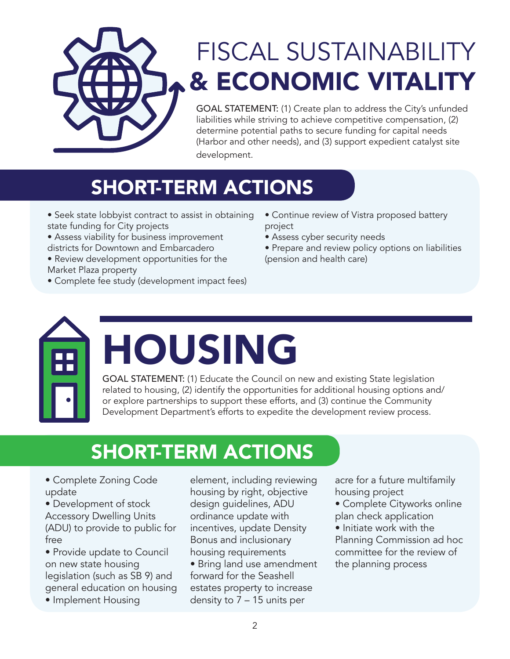

### FISCAL SUSTAINABILITY & ECONOMIC VITALITY

GOAL STATEMENT: (1) Create plan to address the City's unfunded liabilities while striving to achieve competitive compensation, (2) determine potential paths to secure funding for capital needs (Harbor and other needs), and (3) support expedient catalyst site development.

### SHORT-TERM ACTIONS

- Seek state lobbyist contract to assist in obtaining state funding for City projects
- Assess viability for business improvement districts for Downtown and Embarcadero
- Review development opportunities for the Market Plaza property
- Complete fee study (development impact fees)
- Continue review of Vistra proposed battery project
- Assess cyber security needs
- Prepare and review policy options on liabilities (pension and health care)



# HOUSING

GOAL STATEMENT: (1) Educate the Council on new and existing State legislation related to housing, (2) identify the opportunities for additional housing options and/ or explore partnerships to support these efforts, and (3) continue the Community Development Department's efforts to expedite the development review process.

### SHORT-TERM ACTIONS

- Complete Zoning Code update
- Development of stock Accessory Dwelling Units (ADU) to provide to public for free
- Provide update to Council on new state housing legislation (such as SB 9) and general education on housing
- Implement Housing

element, including reviewing housing by right, objective design guidelines, ADU ordinance update with incentives, update Density Bonus and inclusionary housing requirements

• Bring land use amendment forward for the Seashell estates property to increase density to 7 – 15 units per

acre for a future multifamily housing project

- Complete Cityworks online plan check application
- Initiate work with the Planning Commission ad hoc committee for the review of the planning process